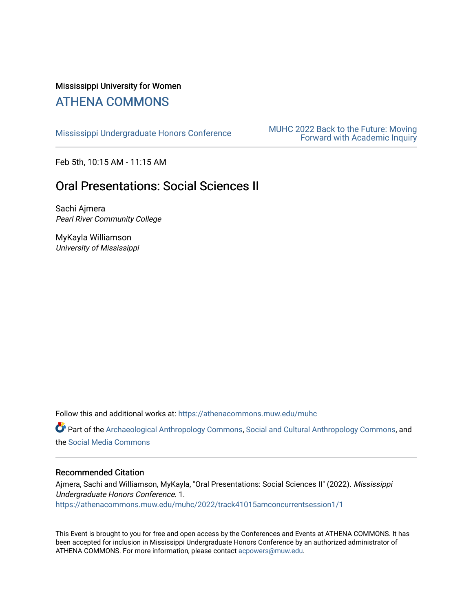### Mississippi University for Women [ATHENA COMMONS](https://athenacommons.muw.edu/)

MUHC 2022 Back to the Future: Moving<br>[Mississippi Undergraduate Honors Conference](https://athenacommons.muw.edu/muhc) **MUHC 2022 Back to the Future: Moving** [Forward with Academic Inquiry](https://athenacommons.muw.edu/muhc/2022) 

Feb 5th, 10:15 AM - 11:15 AM

# Oral Presentations: Social Sciences II

Sachi Ajmera Pearl River Community College

MyKayla Williamson University of Mississippi

Follow this and additional works at: [https://athenacommons.muw.edu/muhc](https://athenacommons.muw.edu/muhc?utm_source=athenacommons.muw.edu%2Fmuhc%2F2022%2Ftrack41015amconcurrentsession1%2F1&utm_medium=PDF&utm_campaign=PDFCoverPages) 

Part of the [Archaeological Anthropology Commons](http://network.bepress.com/hgg/discipline/319?utm_source=athenacommons.muw.edu%2Fmuhc%2F2022%2Ftrack41015amconcurrentsession1%2F1&utm_medium=PDF&utm_campaign=PDFCoverPages), [Social and Cultural Anthropology Commons](http://network.bepress.com/hgg/discipline/323?utm_source=athenacommons.muw.edu%2Fmuhc%2F2022%2Ftrack41015amconcurrentsession1%2F1&utm_medium=PDF&utm_campaign=PDFCoverPages), and the [Social Media Commons](http://network.bepress.com/hgg/discipline/1249?utm_source=athenacommons.muw.edu%2Fmuhc%2F2022%2Ftrack41015amconcurrentsession1%2F1&utm_medium=PDF&utm_campaign=PDFCoverPages)

#### Recommended Citation

Ajmera, Sachi and Williamson, MyKayla, "Oral Presentations: Social Sciences II" (2022). Mississippi Undergraduate Honors Conference. 1. [https://athenacommons.muw.edu/muhc/2022/track41015amconcurrentsession1/1](https://athenacommons.muw.edu/muhc/2022/track41015amconcurrentsession1/1?utm_source=athenacommons.muw.edu%2Fmuhc%2F2022%2Ftrack41015amconcurrentsession1%2F1&utm_medium=PDF&utm_campaign=PDFCoverPages) 

This Event is brought to you for free and open access by the Conferences and Events at ATHENA COMMONS. It has been accepted for inclusion in Mississippi Undergraduate Honors Conference by an authorized administrator of ATHENA COMMONS. For more information, please contact [acpowers@muw.edu](mailto:acpowers@muw.edu).